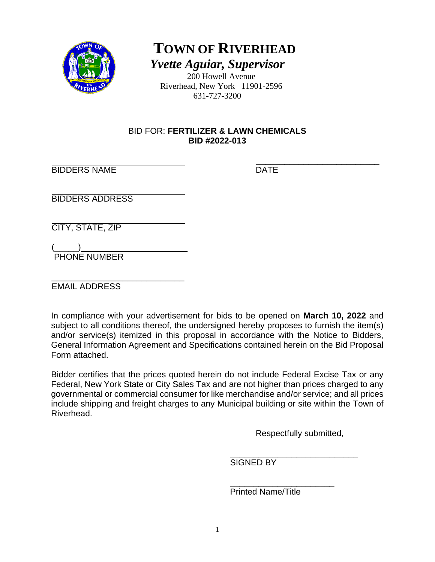

**TOWN OF RIVERHEAD** *Yvette Aguiar, Supervisor*

200 Howell Avenue Riverhead, New York 11901-2596 631-727-3200

### BID FOR: **FERTILIZER & LAWN CHEMICALS BID #2022-013**

\_\_\_\_\_\_\_\_\_\_\_\_\_\_\_\_\_\_\_\_\_\_\_\_\_\_ BIDDERS NAME DATE

BIDDERS ADDRESS

CITY, STATE, ZIP

 $\frac{1}{2}$   $\frac{1}{2}$   $\frac{1}{2}$   $\frac{1}{2}$   $\frac{1}{2}$   $\frac{1}{2}$   $\frac{1}{2}$   $\frac{1}{2}$   $\frac{1}{2}$   $\frac{1}{2}$   $\frac{1}{2}$   $\frac{1}{2}$   $\frac{1}{2}$   $\frac{1}{2}$   $\frac{1}{2}$   $\frac{1}{2}$   $\frac{1}{2}$   $\frac{1}{2}$   $\frac{1}{2}$   $\frac{1}{2}$   $\frac{1}{2}$   $\frac{1}{2}$  PHONE NUMBER

\_\_\_\_\_\_\_\_\_\_\_\_\_\_\_\_\_\_\_\_\_\_\_\_\_\_\_\_ EMAIL ADDRESS

In compliance with your advertisement for bids to be opened on **March 10, 2022** and subject to all conditions thereof, the undersigned hereby proposes to furnish the item(s) and/or service(s) itemized in this proposal in accordance with the Notice to Bidders, General Information Agreement and Specifications contained herein on the Bid Proposal Form attached.

Bidder certifies that the prices quoted herein do not include Federal Excise Tax or any Federal, New York State or City Sales Tax and are not higher than prices charged to any governmental or commercial consumer for like merchandise and/or service; and all prices include shipping and freight charges to any Municipal building or site within the Town of Riverhead.

Respectfully submitted,

 $\overline{\phantom{a}}$  , and the contract of the contract of the contract of the contract of the contract of the contract of the contract of the contract of the contract of the contract of the contract of the contract of the contrac SIGNED BY

 $\overline{\phantom{a}}$  , and the contract of the contract of the contract of the contract of the contract of the contract of the contract of the contract of the contract of the contract of the contract of the contract of the contrac Printed Name/Title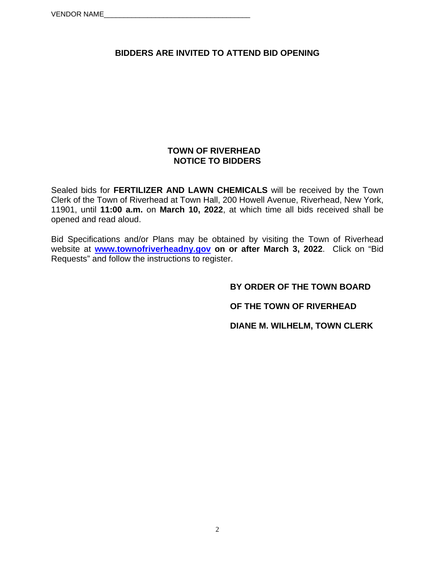# **BIDDERS ARE INVITED TO ATTEND BID OPENING**

#### **TOWN OF RIVERHEAD NOTICE TO BIDDERS**

Sealed bids for **FERTILIZER AND LAWN CHEMICALS** will be received by the Town Clerk of the Town of Riverhead at Town Hall, 200 Howell Avenue, Riverhead, New York, 11901, until **11:00 a.m.** on **March 10, 2022**, at which time all bids received shall be opened and read aloud.

Bid Specifications and/or Plans may be obtained by visiting the Town of Riverhead website at **www.townofriverheadny.gov on or after March 3, 2022**. Click on "Bid Requests" and follow the instructions to register.

**BY ORDER OF THE TOWN BOARD** 

 **OF THE TOWN OF RIVERHEAD** 

 **DIANE M. WILHELM, TOWN CLERK**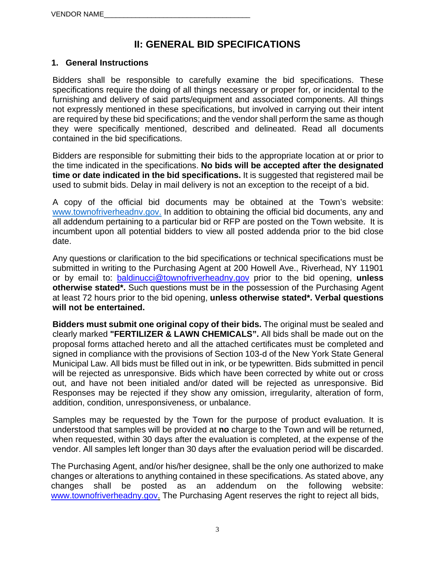# **II: GENERAL BID SPECIFICATIONS**

### **1. General Instructions**

Bidders shall be responsible to carefully examine the bid specifications. These specifications require the doing of all things necessary or proper for, or incidental to the furnishing and delivery of said parts/equipment and associated components. All things not expressly mentioned in these specifications, but involved in carrying out their intent are required by these bid specifications; and the vendor shall perform the same as though they were specifically mentioned, described and delineated. Read all documents contained in the bid specifications.

Bidders are responsible for submitting their bids to the appropriate location at or prior to the time indicated in the specifications. **No bids will be accepted after the designated time or date indicated in the bid specifications.** It is suggested that registered mail be used to submit bids. Delay in mail delivery is not an exception to the receipt of a bid.

A copy of the official bid documents may be obtained at the Town's website: www.townofriverheadny.gov. In addition to obtaining the official bid documents, any and all addendum pertaining to a particular bid or RFP are posted on the Town website. It is incumbent upon all potential bidders to view all posted addenda prior to the bid close date.

Any questions or clarification to the bid specifications or technical specifications must be submitted in writing to the Purchasing Agent at 200 Howell Ave., Riverhead, NY 11901 or by email to: baldinucci@townofriverheadny.gov prior to the bid opening, **unless otherwise stated\*.** Such questions must be in the possession of the Purchasing Agent at least 72 hours prior to the bid opening, **unless otherwise stated\*. Verbal questions will not be entertained.** 

**Bidders must submit one original copy of their bids.** The original must be sealed and clearly marked **"FERTILIZER & LAWN CHEMICALS".** All bids shall be made out on the proposal forms attached hereto and all the attached certificates must be completed and signed in compliance with the provisions of Section 103-d of the New York State General Municipal Law. All bids must be filled out in ink, or be typewritten. Bids submitted in pencil will be rejected as unresponsive. Bids which have been corrected by white out or cross out, and have not been initialed and/or dated will be rejected as unresponsive. Bid Responses may be rejected if they show any omission, irregularity, alteration of form, addition, condition, unresponsiveness, or unbalance.

Samples may be requested by the Town for the purpose of product evaluation. It is understood that samples will be provided at **no** charge to the Town and will be returned, when requested, within 30 days after the evaluation is completed, at the expense of the vendor. All samples left longer than 30 days after the evaluation period will be discarded.

The Purchasing Agent, and/or his/her designee, shall be the only one authorized to make changes or alterations to anything contained in these specifications. As stated above, any changes shall be posted as an addendum on the following website: www.townofriverheadny.gov. The Purchasing Agent reserves the right to reject all bids.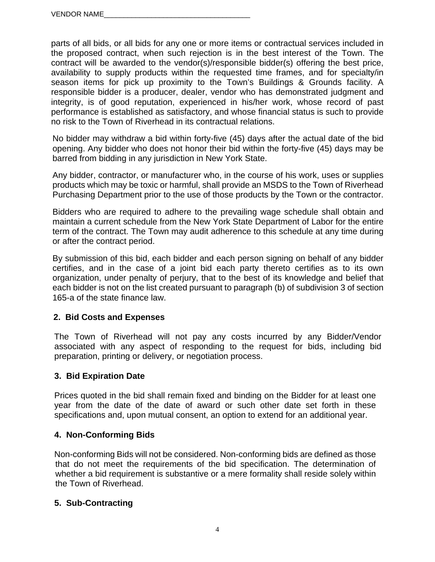parts of all bids, or all bids for any one or more items or contractual services included in the proposed contract, when such rejection is in the best interest of the Town. The contract will be awarded to the vendor(s)/responsible bidder(s) offering the best price, availability to supply products within the requested time frames, and for specialty/in season items for pick up proximity to the Town's Buildings & Grounds facility. A responsible bidder is a producer, dealer, vendor who has demonstrated judgment and integrity, is of good reputation, experienced in his/her work, whose record of past performance is established as satisfactory, and whose financial status is such to provide no risk to the Town of Riverhead in its contractual relations.

No bidder may withdraw a bid within forty-five (45) days after the actual date of the bid opening. Any bidder who does not honor their bid within the forty-five (45) days may be barred from bidding in any jurisdiction in New York State.

Any bidder, contractor, or manufacturer who, in the course of his work, uses or supplies products which may be toxic or harmful, shall provide an MSDS to the Town of Riverhead Purchasing Department prior to the use of those products by the Town or the contractor.

Bidders who are required to adhere to the prevailing wage schedule shall obtain and maintain a current schedule from the New York State Department of Labor for the entire term of the contract. The Town may audit adherence to this schedule at any time during or after the contract period.

By submission of this bid, each bidder and each person signing on behalf of any bidder certifies, and in the case of a joint bid each party thereto certifies as to its own organization, under penalty of perjury, that to the best of its knowledge and belief that each bidder is not on the list created pursuant to paragraph (b) of subdivision 3 of section 165-a of the state finance law.

# **2. Bid Costs and Expenses**

 The Town of Riverhead will not pay any costs incurred by any Bidder/Vendor associated with any aspect of responding to the request for bids, including bid preparation, printing or delivery, or negotiation process.

#### **3. Bid Expiration Date**

Prices quoted in the bid shall remain fixed and binding on the Bidder for at least one year from the date of the date of award or such other date set forth in these specifications and, upon mutual consent, an option to extend for an additional year.

#### **4. Non-Conforming Bids**

Non-conforming Bids will not be considered. Non-conforming bids are defined as those that do not meet the requirements of the bid specification. The determination of whether a bid requirement is substantive or a mere formality shall reside solely within the Town of Riverhead.

#### **5. Sub-Contracting**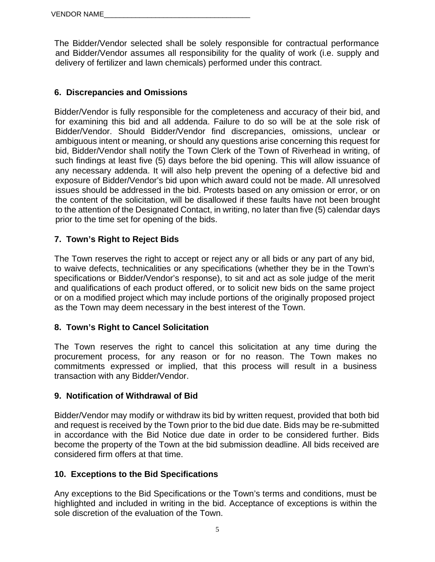The Bidder/Vendor selected shall be solely responsible for contractual performance and Bidder/Vendor assumes all responsibility for the quality of work (i.e. supply and delivery of fertilizer and lawn chemicals) performed under this contract.

### **6. Discrepancies and Omissions**

Bidder/Vendor is fully responsible for the completeness and accuracy of their bid, and for examining this bid and all addenda. Failure to do so will be at the sole risk of Bidder/Vendor. Should Bidder/Vendor find discrepancies, omissions, unclear or ambiguous intent or meaning, or should any questions arise concerning this request for bid, Bidder/Vendor shall notify the Town Clerk of the Town of Riverhead in writing, of such findings at least five (5) days before the bid opening. This will allow issuance of any necessary addenda. It will also help prevent the opening of a defective bid and exposure of Bidder/Vendor's bid upon which award could not be made. All unresolved issues should be addressed in the bid. Protests based on any omission or error, or on the content of the solicitation, will be disallowed if these faults have not been brought to the attention of the Designated Contact, in writing, no later than five (5) calendar days prior to the time set for opening of the bids.

### **7. Town's Right to Reject Bids**

The Town reserves the right to accept or reject any or all bids or any part of any bid, to waive defects, technicalities or any specifications (whether they be in the Town's specifications or Bidder/Vendor's response), to sit and act as sole judge of the merit and qualifications of each product offered, or to solicit new bids on the same project or on a modified project which may include portions of the originally proposed project as the Town may deem necessary in the best interest of the Town.

#### **8. Town's Right to Cancel Solicitation**

The Town reserves the right to cancel this solicitation at any time during the procurement process, for any reason or for no reason. The Town makes no commitments expressed or implied, that this process will result in a business transaction with any Bidder/Vendor.

#### **9. Notification of Withdrawal of Bid**

Bidder/Vendor may modify or withdraw its bid by written request, provided that both bid and request is received by the Town prior to the bid due date. Bids may be re-submitted in accordance with the Bid Notice due date in order to be considered further. Bids become the property of the Town at the bid submission deadline. All bids received are considered firm offers at that time.

#### **10. Exceptions to the Bid Specifications**

Any exceptions to the Bid Specifications or the Town's terms and conditions, must be highlighted and included in writing in the bid. Acceptance of exceptions is within the sole discretion of the evaluation of the Town.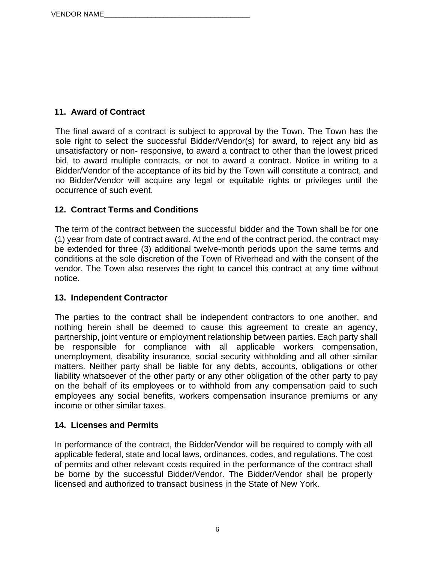# **11. Award of Contract**

The final award of a contract is subject to approval by the Town. The Town has the sole right to select the successful Bidder/Vendor(s) for award, to reject any bid as unsatisfactory or non- responsive, to award a contract to other than the lowest priced bid, to award multiple contracts, or not to award a contract. Notice in writing to a Bidder/Vendor of the acceptance of its bid by the Town will constitute a contract, and no Bidder/Vendor will acquire any legal or equitable rights or privileges until the occurrence of such event.

# **12. Contract Terms and Conditions**

The term of the contract between the successful bidder and the Town shall be for one (1) year from date of contract award. At the end of the contract period, the contract may be extended for three (3) additional twelve-month periods upon the same terms and conditions at the sole discretion of the Town of Riverhead and with the consent of the vendor. The Town also reserves the right to cancel this contract at any time without notice.

# **13. Independent Contractor**

The parties to the contract shall be independent contractors to one another, and nothing herein shall be deemed to cause this agreement to create an agency, partnership, joint venture or employment relationship between parties. Each party shall be responsible for compliance with all applicable workers compensation, unemployment, disability insurance, social security withholding and all other similar matters. Neither party shall be liable for any debts, accounts, obligations or other liability whatsoever of the other party or any other obligation of the other party to pay on the behalf of its employees or to withhold from any compensation paid to such employees any social benefits, workers compensation insurance premiums or any income or other similar taxes.

# **14. Licenses and Permits**

In performance of the contract, the Bidder/Vendor will be required to comply with all applicable federal, state and local laws, ordinances, codes, and regulations. The cost of permits and other relevant costs required in the performance of the contract shall be borne by the successful Bidder/Vendor. The Bidder/Vendor shall be properly licensed and authorized to transact business in the State of New York.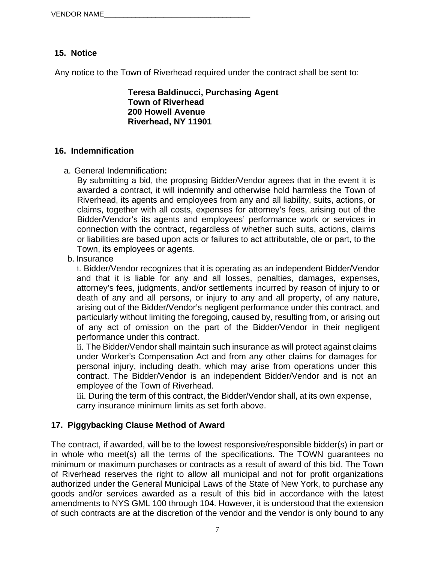# **15. Notice**

Any notice to the Town of Riverhead required under the contract shall be sent to:

**Teresa Baldinucci, Purchasing Agent Town of Riverhead 200 Howell Avenue Riverhead, NY 11901** 

#### **16. Indemnification**

a. General Indemnification**:**

By submitting a bid, the proposing Bidder/Vendor agrees that in the event it is awarded a contract, it will indemnify and otherwise hold harmless the Town of Riverhead, its agents and employees from any and all liability, suits, actions, or claims, together with all costs, expenses for attorney's fees, arising out of the Bidder/Vendor's its agents and employees' performance work or services in connection with the contract, regardless of whether such suits, actions, claims or liabilities are based upon acts or failures to act attributable, ole or part, to the Town, its employees or agents.

b. Insurance

i. Bidder/Vendor recognizes that it is operating as an independent Bidder/Vendor and that it is liable for any and all losses, penalties, damages, expenses, attorney's fees, judgments, and/or settlements incurred by reason of injury to or death of any and all persons, or injury to any and all property, of any nature, arising out of the Bidder/Vendor's negligent performance under this contract, and particularly without limiting the foregoing, caused by, resulting from, or arising out of any act of omission on the part of the Bidder/Vendor in their negligent performance under this contract.

ii. The Bidder/Vendor shall maintain such insurance as will protect against claims under Worker's Compensation Act and from any other claims for damages for personal injury, including death, which may arise from operations under this contract. The Bidder/Vendor is an independent Bidder/Vendor and is not an employee of the Town of Riverhead.

iii. During the term of this contract, the Bidder/Vendor shall, at its own expense, carry insurance minimum limits as set forth above.

# **17. Piggybacking Clause Method of Award**

The contract, if awarded, will be to the lowest responsive/responsible bidder(s) in part or in whole who meet(s) all the terms of the specifications. The TOWN guarantees no minimum or maximum purchases or contracts as a result of award of this bid. The Town of Riverhead reserves the right to allow all municipal and not for profit organizations authorized under the General Municipal Laws of the State of New York, to purchase any goods and/or services awarded as a result of this bid in accordance with the latest amendments to NYS GML 100 through 104. However, it is understood that the extension of such contracts are at the discretion of the vendor and the vendor is only bound to any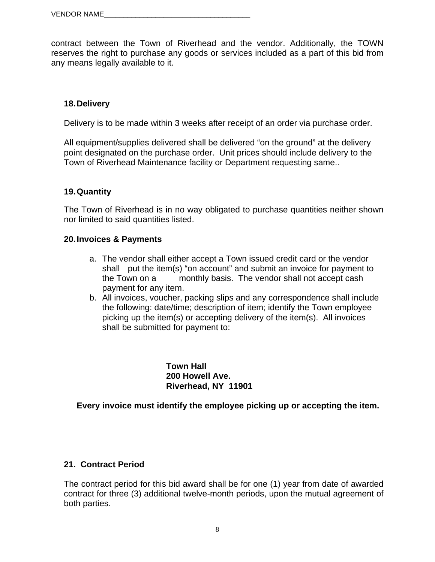contract between the Town of Riverhead and the vendor. Additionally, the TOWN reserves the right to purchase any goods or services included as a part of this bid from any means legally available to it.

#### **18. Delivery**

Delivery is to be made within 3 weeks after receipt of an order via purchase order.

All equipment/supplies delivered shall be delivered "on the ground" at the delivery point designated on the purchase order. Unit prices should include delivery to the Town of Riverhead Maintenance facility or Department requesting same..

#### **19. Quantity**

The Town of Riverhead is in no way obligated to purchase quantities neither shown nor limited to said quantities listed.

#### **20. Invoices & Payments**

- a. The vendor shall either accept a Town issued credit card or the vendor shall put the item(s) "on account" and submit an invoice for payment to the Town on a monthly basis. The vendor shall not accept cash payment for any item.
- b. All invoices, voucher, packing slips and any correspondence shall include the following: date/time; description of item; identify the Town employee picking up the item(s) or accepting delivery of the item(s). All invoices shall be submitted for payment to:

**Town Hall 200 Howell Ave. Riverhead, NY 11901** 

 **Every invoice must identify the employee picking up or accepting the item.** 

#### **21. Contract Period**

The contract period for this bid award shall be for one (1) year from date of awarded contract for three (3) additional twelve-month periods, upon the mutual agreement of both parties.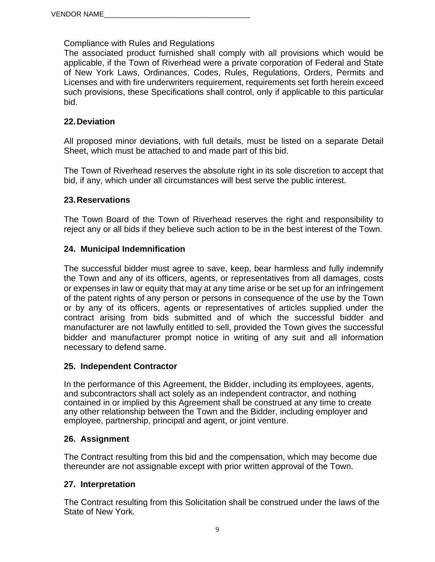Compliance with Rules and Regulations

The associated product furnished shall comply with all provisions which would be applicable, if the Town of Riverhead were a private corporation of Federal and State of New York Laws, Ordinances, Codes, Rules, Regulations, Orders, Permits and Licenses and with fire underwriters requirement, requirements set forth herein exceed such provisions, these Specifications shall control, only if applicable to this particular bid.

### **22. Deviation**

All proposed minor deviations, with full details, must be listed on a separate Detail Sheet, which must be attached to and made part of this bid.

The Town of Riverhead reserves the absolute right in its sole discretion to accept that bid, if any, which under all circumstances will best serve the public interest.

#### **23. Reservations**

The Town Board of the Town of Riverhead reserves the right and responsibility to reject any or all bids if they believe such action to be in the best interest of the Town.

#### **24. Municipal Indemnification**

The successful bidder must agree to save, keep, bear harmless and fully indemnify the Town and any of its officers, agents, or representatives from all damages, costs or expenses in law or equity that may at any time arise or be set up for an infringement of the patent rights of any person or persons in consequence of the use by the Town or by any of its officers, agents or representatives of articles supplied under the contract arising from bids submitted and of which the successful bidder and manufacturer are not lawfully entitled to sell, provided the Town gives the successful bidder and manufacturer prompt notice in writing of any suit and all information necessary to defend same.

#### **25. Independent Contractor**

In the performance of this Agreement, the Bidder, including its employees, agents, and subcontractors shall act solely as an independent contractor, and nothing contained in or implied by this Agreement shall be construed at any time to create any other relationship between the Town and the Bidder, including employer and employee, partnership, principal and agent, or joint venture.

#### **26. Assignment**

The Contract resulting from this bid and the compensation, which may become due thereunder are not assignable except with prior written approval of the Town.

#### **27. Interpretation**

The Contract resulting from this Solicitation shall be construed under the laws of the State of New York.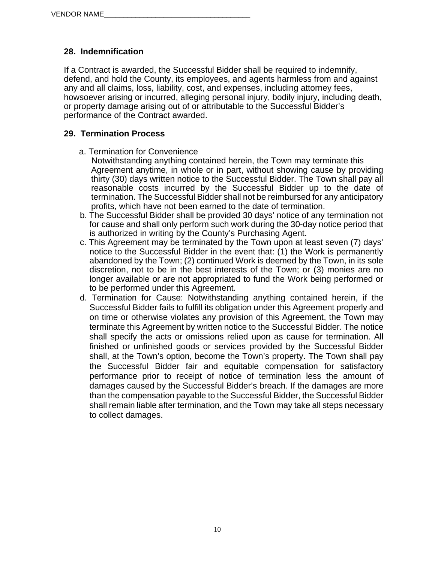# **28. Indemnification**

If a Contract is awarded, the Successful Bidder shall be required to indemnify, defend, and hold the County, its employees, and agents harmless from and against any and all claims, loss, liability, cost, and expenses, including attorney fees, howsoever arising or incurred, alleging personal injury, bodily injury, including death, or property damage arising out of or attributable to the Successful Bidder's performance of the Contract awarded.

### **29. Termination Process**

- a. Termination for Convenience
	- Notwithstanding anything contained herein, the Town may terminate this Agreement anytime, in whole or in part, without showing cause by providing thirty (30) days written notice to the Successful Bidder. The Town shall pay all reasonable costs incurred by the Successful Bidder up to the date of termination. The Successful Bidder shall not be reimbursed for any anticipatory profits, which have not been earned to the date of termination.
- b. The Successful Bidder shall be provided 30 days' notice of any termination not for cause and shall only perform such work during the 30-day notice period that is authorized in writing by the County's Purchasing Agent.
- c. This Agreement may be terminated by the Town upon at least seven (7) days' notice to the Successful Bidder in the event that: (1) the Work is permanently abandoned by the Town; (2) continued Work is deemed by the Town, in its sole discretion, not to be in the best interests of the Town; or (3) monies are no longer available or are not appropriated to fund the Work being performed or to be performed under this Agreement.
- d. Termination for Cause: Notwithstanding anything contained herein, if the Successful Bidder fails to fulfill its obligation under this Agreement properly and on time or otherwise violates any provision of this Agreement, the Town may terminate this Agreement by written notice to the Successful Bidder. The notice shall specify the acts or omissions relied upon as cause for termination. All finished or unfinished goods or services provided by the Successful Bidder shall, at the Town's option, become the Town's property. The Town shall pay the Successful Bidder fair and equitable compensation for satisfactory performance prior to receipt of notice of termination less the amount of damages caused by the Successful Bidder's breach. If the damages are more than the compensation payable to the Successful Bidder, the Successful Bidder shall remain liable after termination, and the Town may take all steps necessary to collect damages.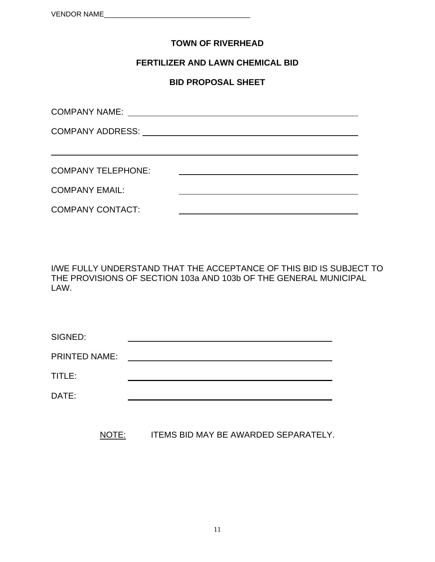### **TOWN OF RIVERHEAD**

#### **FERTILIZER AND LAWN CHEMICAL BID**

#### **BID PROPOSAL SHEET**

| <b>COMPANY NAME:</b>      |  |  |
|---------------------------|--|--|
|                           |  |  |
|                           |  |  |
| <b>COMPANY TELEPHONE:</b> |  |  |
| <b>COMPANY EMAIL:</b>     |  |  |
| <b>COMPANY CONTACT:</b>   |  |  |

I/WE FULLY UNDERSTAND THAT THE ACCEPTANCE OF THIS BID IS SUBJECT TO THE PROVISIONS OF SECTION 103a AND 103b OF THE GENERAL MUNICIPAL LAW.

| SIGNED:       |  |
|---------------|--|
| PRINTED NAME: |  |
| TITLE:        |  |
| DATE:         |  |
|               |  |

NOTE: ITEMS BID MAY BE AWARDED SEPARATELY.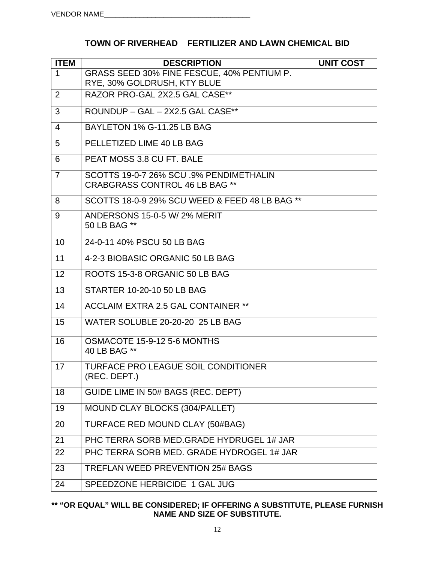| <b>ITEM</b>    | <b>DESCRIPTION</b>                                                        | <b>UNIT COST</b> |
|----------------|---------------------------------------------------------------------------|------------------|
| 1              | GRASS SEED 30% FINE FESCUE, 40% PENTIUM P.<br>RYE, 30% GOLDRUSH, KTY BLUE |                  |
| $\overline{2}$ | RAZOR PRO-GAL 2X2.5 GAL CASE**                                            |                  |
| 3              | ROUNDUP – GAL – 2X2.5 GAL CASE**                                          |                  |
| 4              | BAYLETON 1% G-11.25 LB BAG                                                |                  |

# **TOWN OF RIVERHEAD FERTILIZER AND LAWN CHEMICAL BID**

| 5              | PELLETIZED LIME 40 LB BAG                                                        |  |
|----------------|----------------------------------------------------------------------------------|--|
| 6              | PEAT MOSS 3.8 CU FT. BALE                                                        |  |
| $\overline{7}$ | SCOTTS 19-0-7 26% SCU .9% PENDIMETHALIN<br><b>CRABGRASS CONTROL 46 LB BAG **</b> |  |
| 8              | SCOTTS 18-0-9 29% SCU WEED & FEED 48 LB BAG **                                   |  |
| 9              | ANDERSONS 15-0-5 W/ 2% MERIT<br>50 LB BAG **                                     |  |
| 10             | 24-0-11 40% PSCU 50 LB BAG                                                       |  |
| 11             | 4-2-3 BIOBASIC ORGANIC 50 LB BAG                                                 |  |
| 12             | ROOTS 15-3-8 ORGANIC 50 LB BAG                                                   |  |
| 13             | STARTER 10-20-10 50 LB BAG                                                       |  |
| 14             | <b>ACCLAIM EXTRA 2.5 GAL CONTAINER **</b>                                        |  |
| 15             | WATER SOLUBLE 20-20-20 25 LB BAG                                                 |  |
| 16             | OSMACOTE 15-9-12 5-6 MONTHS<br>40 LB BAG **                                      |  |
| 17             | <b>TURFACE PRO LEAGUE SOIL CONDITIONER</b><br>(REC. DEPT.)                       |  |
| 18             | GUIDE LIME IN 50# BAGS (REC. DEPT)                                               |  |
| 19             | MOUND CLAY BLOCKS (304/PALLET)                                                   |  |
| 20             | TURFACE RED MOUND CLAY (50#BAG)                                                  |  |
| 21             | PHC TERRA SORB MED. GRADE HYDRUGEL 1# JAR                                        |  |
| 22             | PHC TERRA SORB MED. GRADE HYDROGEL 1# JAR                                        |  |
| 23             | <b>TREFLAN WEED PREVENTION 25# BAGS</b>                                          |  |
| 24             | SPEEDZONE HERBICIDE 1 GAL JUG                                                    |  |
|                |                                                                                  |  |

### **\*\* "OR EQUAL" WILL BE CONSIDERED; IF OFFERING A SUBSTITUTE, PLEASE FURNISH NAME AND SIZE OF SUBSTITUTE.**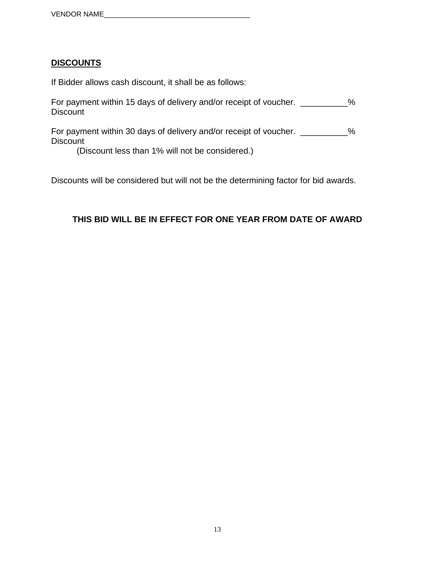### **DISCOUNTS**

If Bidder allows cash discount, it shall be as follows:

| For payment within 15 days of delivery and/or receipt of voucher.<br><b>Discount</b> | ℅ |
|--------------------------------------------------------------------------------------|---|
| For payment within 30 days of delivery and/or receipt of voucher.<br><b>Discount</b> | % |
| (Discount less than 1% will not be considered.)                                      |   |

Discounts will be considered but will not be the determining factor for bid awards.

# **THIS BID WILL BE IN EFFECT FOR ONE YEAR FROM DATE OF AWARD**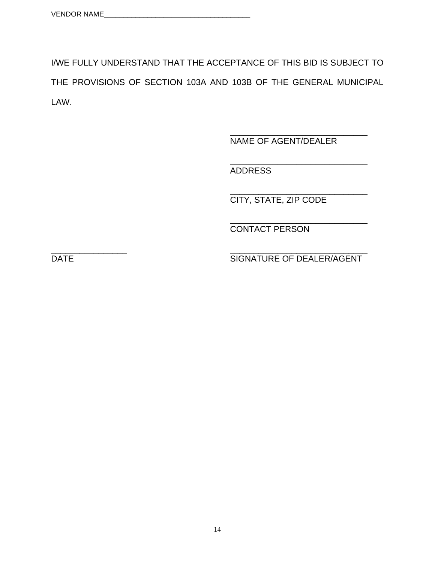I/WE FULLY UNDERSTAND THAT THE ACCEPTANCE OF THIS BID IS SUBJECT TO THE PROVISIONS OF SECTION 103A AND 103B OF THE GENERAL MUNICIPAL LAW.

 $\overline{\phantom{a}}$  , and the contract of the contract of the contract of the contract of the contract of the contract of the contract of the contract of the contract of the contract of the contract of the contract of the contrac

NAME OF AGENT/DEALER

 $\frac{1}{\sqrt{2\pi}}$  ,  $\frac{1}{\sqrt{2\pi}}$  ,  $\frac{1}{\sqrt{2\pi}}$  ,  $\frac{1}{\sqrt{2\pi}}$  ,  $\frac{1}{\sqrt{2\pi}}$  ,  $\frac{1}{\sqrt{2\pi}}$  ,  $\frac{1}{\sqrt{2\pi}}$  ,  $\frac{1}{\sqrt{2\pi}}$  ,  $\frac{1}{\sqrt{2\pi}}$  ,  $\frac{1}{\sqrt{2\pi}}$  ,  $\frac{1}{\sqrt{2\pi}}$  ,  $\frac{1}{\sqrt{2\pi}}$  ,  $\frac{1}{\sqrt{2\pi}}$  , ADDRESS

 $\overline{\phantom{a}}$  , and the contract of the contract of the contract of the contract of the contract of the contract of the contract of the contract of the contract of the contract of the contract of the contract of the contrac CITY, STATE, ZIP CODE

 $\frac{1}{\sqrt{2\pi}}$  ,  $\frac{1}{\sqrt{2\pi}}$  ,  $\frac{1}{\sqrt{2\pi}}$  ,  $\frac{1}{\sqrt{2\pi}}$  ,  $\frac{1}{\sqrt{2\pi}}$  ,  $\frac{1}{\sqrt{2\pi}}$  ,  $\frac{1}{\sqrt{2\pi}}$  ,  $\frac{1}{\sqrt{2\pi}}$  ,  $\frac{1}{\sqrt{2\pi}}$  ,  $\frac{1}{\sqrt{2\pi}}$  ,  $\frac{1}{\sqrt{2\pi}}$  ,  $\frac{1}{\sqrt{2\pi}}$  ,  $\frac{1}{\sqrt{2\pi}}$  , CONTACT PERSON

\_\_\_\_\_\_\_\_\_\_\_\_\_\_\_\_ \_\_\_\_\_\_\_\_\_\_\_\_\_\_\_\_\_\_\_\_\_\_\_\_\_\_\_\_\_ DATE SIGNATURE OF DEALER/AGENT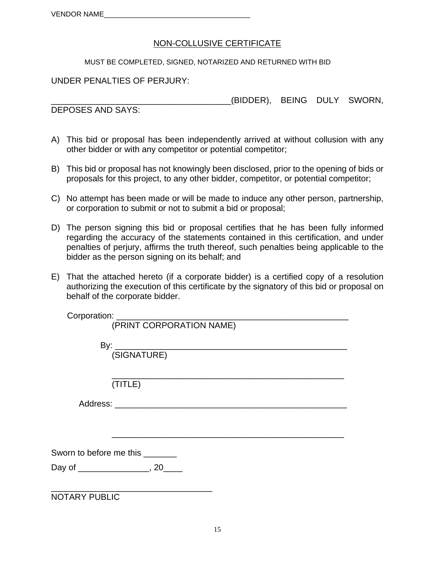### NON-COLLUSIVE CERTIFICATE

MUST BE COMPLETED, SIGNED, NOTARIZED AND RETURNED WITH BID

#### UNDER PENALTIES OF PERJURY:

\_\_\_\_\_\_\_\_\_\_\_\_\_\_\_\_\_\_\_\_\_\_\_\_\_\_\_\_\_\_\_\_\_\_\_\_\_\_(BIDDER), BEING DULY SWORN,

DEPOSES AND SAYS:

- A) This bid or proposal has been independently arrived at without collusion with any other bidder or with any competitor or potential competitor;
- B) This bid or proposal has not knowingly been disclosed, prior to the opening of bids or proposals for this project, to any other bidder, competitor, or potential competitor;
- C) No attempt has been made or will be made to induce any other person, partnership, or corporation to submit or not to submit a bid or proposal;
- D) The person signing this bid or proposal certifies that he has been fully informed regarding the accuracy of the statements contained in this certification, and under penalties of perjury, affirms the truth thereof, such penalties being applicable to the bidder as the person signing on its behalf; and
- E) That the attached hereto (if a corporate bidder) is a certified copy of a resolution authorizing the execution of this certificate by the signatory of this bid or proposal on behalf of the corporate bidder.

|                      | (PRINT CORPORATION NAME)                  |
|----------------------|-------------------------------------------|
|                      |                                           |
|                      |                                           |
|                      |                                           |
|                      | (TITLE)                                   |
|                      |                                           |
|                      |                                           |
|                      |                                           |
|                      | Sworn to before me this ________          |
|                      | Day of ________________________, 20______ |
|                      |                                           |
| <b>NOTARY PUBLIC</b> |                                           |
|                      |                                           |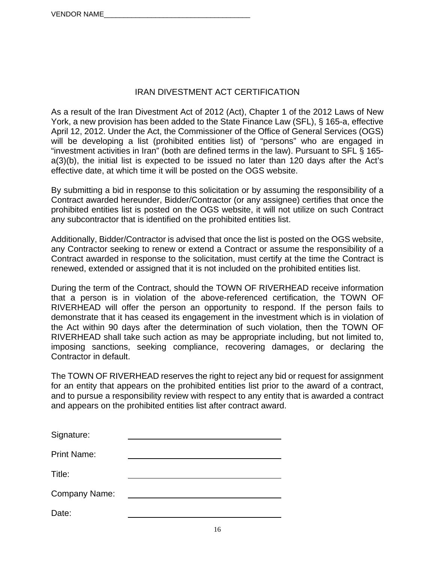# IRAN DIVESTMENT ACT CERTIFICATION

As a result of the Iran Divestment Act of 2012 (Act), Chapter 1 of the 2012 Laws of New York, a new provision has been added to the State Finance Law (SFL), § 165-a, effective April 12, 2012. Under the Act, the Commissioner of the Office of General Services (OGS) will be developing a list (prohibited entities list) of "persons" who are engaged in "investment activities in Iran" (both are defined terms in the law). Pursuant to SFL § 165 a(3)(b), the initial list is expected to be issued no later than 120 days after the Act's effective date, at which time it will be posted on the OGS website.

By submitting a bid in response to this solicitation or by assuming the responsibility of a Contract awarded hereunder, Bidder/Contractor (or any assignee) certifies that once the prohibited entities list is posted on the OGS website, it will not utilize on such Contract any subcontractor that is identified on the prohibited entities list.

Additionally, Bidder/Contractor is advised that once the list is posted on the OGS website, any Contractor seeking to renew or extend a Contract or assume the responsibility of a Contract awarded in response to the solicitation, must certify at the time the Contract is renewed, extended or assigned that it is not included on the prohibited entities list.

During the term of the Contract, should the TOWN OF RIVERHEAD receive information that a person is in violation of the above-referenced certification, the TOWN OF RIVERHEAD will offer the person an opportunity to respond. If the person fails to demonstrate that it has ceased its engagement in the investment which is in violation of the Act within 90 days after the determination of such violation, then the TOWN OF RIVERHEAD shall take such action as may be appropriate including, but not limited to, imposing sanctions, seeking compliance, recovering damages, or declaring the Contractor in default.

The TOWN OF RIVERHEAD reserves the right to reject any bid or request for assignment for an entity that appears on the prohibited entities list prior to the award of a contract, and to pursue a responsibility review with respect to any entity that is awarded a contract and appears on the prohibited entities list after contract award.

| Signature:         |  |
|--------------------|--|
| <b>Print Name:</b> |  |
| Title:             |  |
| Company Name:      |  |
| Date:              |  |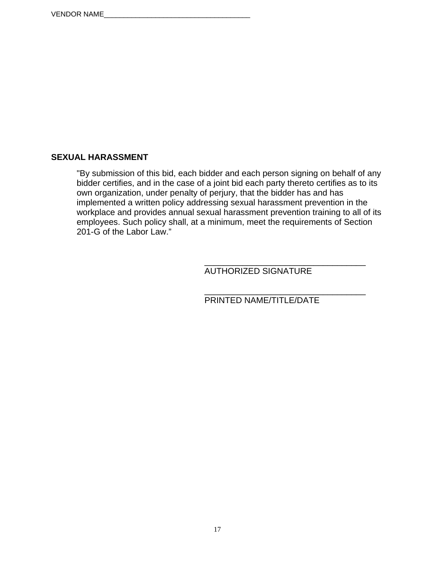### **SEXUAL HARASSMENT**

"By submission of this bid, each bidder and each person signing on behalf of any bidder certifies, and in the case of a joint bid each party thereto certifies as to its own organization, under penalty of perjury, that the bidder has and has implemented a written policy addressing sexual harassment prevention in the workplace and provides annual sexual harassment prevention training to all of its employees. Such policy shall, at a minimum, meet the requirements of Section 201-G of the Labor Law."

 $\frac{1}{\sqrt{2\pi}}$  ,  $\frac{1}{\sqrt{2\pi}}$  ,  $\frac{1}{\sqrt{2\pi}}$  ,  $\frac{1}{\sqrt{2\pi}}$  ,  $\frac{1}{\sqrt{2\pi}}$  ,  $\frac{1}{\sqrt{2\pi}}$  ,  $\frac{1}{\sqrt{2\pi}}$  ,  $\frac{1}{\sqrt{2\pi}}$  ,  $\frac{1}{\sqrt{2\pi}}$  ,  $\frac{1}{\sqrt{2\pi}}$  ,  $\frac{1}{\sqrt{2\pi}}$  ,  $\frac{1}{\sqrt{2\pi}}$  ,  $\frac{1}{\sqrt{2\pi}}$  , AUTHORIZED SIGNATURE

 $\frac{1}{\sqrt{2\pi}}$  , which is a set of the set of the set of the set of the set of the set of the set of the set of the set of the set of the set of the set of the set of the set of the set of the set of the set of the set of PRINTED NAME/TITLE/DATE